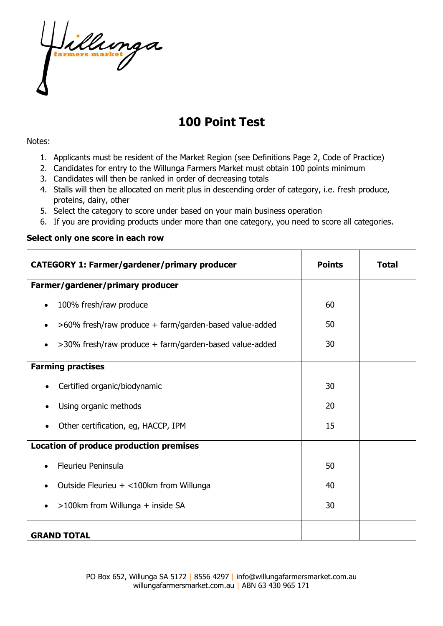

# **100 Point Test**

#### Notes:

- 1. Applicants must be resident of the Market Region (see Definitions Page 2, Code of Practice)
- 2. Candidates for entry to the Willunga Farmers Market must obtain 100 points minimum
- 3. Candidates will then be ranked in order of decreasing totals
- 4. Stalls will then be allocated on merit plus in descending order of category, i.e. fresh produce, proteins, dairy, other
- 5. Select the category to score under based on your main business operation
- 6. If you are providing products under more than one category, you need to score all categories.

#### **Select only one score in each row**

| <b>CATEGORY 1: Farmer/gardener/primary producer</b>         | <b>Points</b> | <b>Total</b> |
|-------------------------------------------------------------|---------------|--------------|
| Farmer/gardener/primary producer                            |               |              |
| 100% fresh/raw produce<br>$\bullet$                         | 60            |              |
| >60% fresh/raw produce + farm/garden-based value-added<br>٠ | 50            |              |
| >30% fresh/raw produce + farm/garden-based value-added<br>٠ | 30            |              |
| <b>Farming practises</b>                                    |               |              |
| Certified organic/biodynamic                                | 30            |              |
| Using organic methods                                       | 20            |              |
| Other certification, eg, HACCP, IPM                         | 15            |              |
| Location of produce production premises                     |               |              |
| <b>Fleurieu Peninsula</b>                                   | 50            |              |
| Outside Fleurieu + <100km from Willunga<br>$\bullet$        | 40            |              |
| >100km from Willunga + inside SA<br>$\bullet$               | 30            |              |
| <b>GRAND TOTAL</b>                                          |               |              |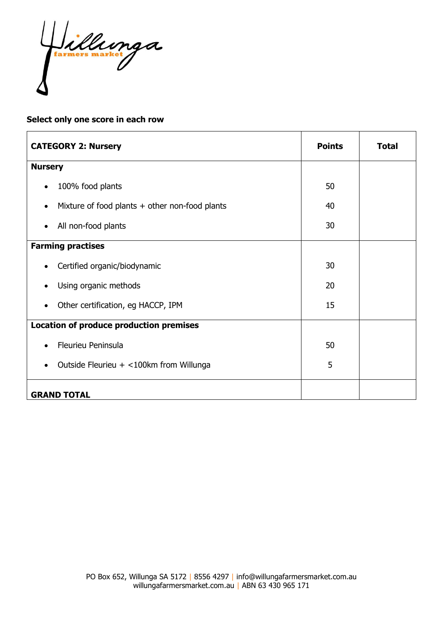Jillunga

## **Select only one score in each row**

| <b>CATEGORY 2: Nursery</b>                                    | <b>Points</b> | <b>Total</b> |
|---------------------------------------------------------------|---------------|--------------|
| <b>Nursery</b>                                                |               |              |
| 100% food plants<br>$\bullet$                                 | 50            |              |
| Mixture of food plants $+$ other non-food plants<br>$\bullet$ | 40            |              |
| All non-food plants<br>$\bullet$                              | 30            |              |
| <b>Farming practises</b>                                      |               |              |
| Certified organic/biodynamic<br>$\bullet$                     | 30            |              |
| Using organic methods<br>$\bullet$                            | 20            |              |
| Other certification, eg HACCP, IPM<br>$\bullet$               | 15            |              |
| <b>Location of produce production premises</b>                |               |              |
| Fleurieu Peninsula<br>$\bullet$                               | 50            |              |
| Outside Fleurieu + <100km from Willunga<br>$\bullet$          | 5             |              |
| <b>GRAND TOTAL</b>                                            |               |              |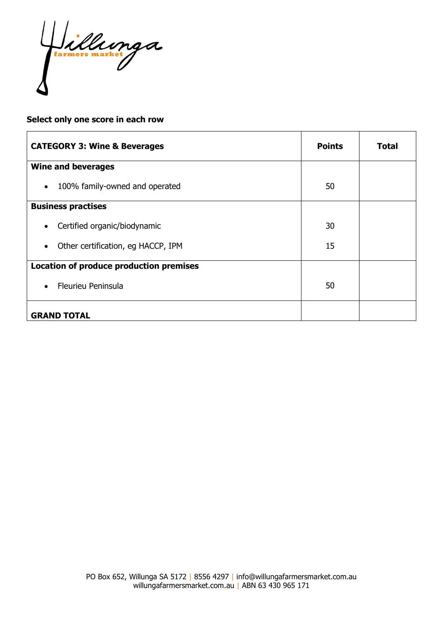Jillunga

## **Select only one score in each row**

| <b>CATEGORY 3: Wine &amp; Beverages</b>         | <b>Points</b> | Total |
|-------------------------------------------------|---------------|-------|
| <b>Wine and beverages</b>                       |               |       |
| 100% family-owned and operated<br>$\bullet$     | 50            |       |
| <b>Business practises</b>                       |               |       |
| Certified organic/biodynamic<br>$\bullet$       | 30            |       |
| Other certification, eg HACCP, IPM<br>$\bullet$ | 15            |       |
| Location of produce production premises         |               |       |
| <b>Fleurieu Peninsula</b><br>$\bullet$          | 50            |       |
| <b>GRAND TOTAL</b>                              |               |       |